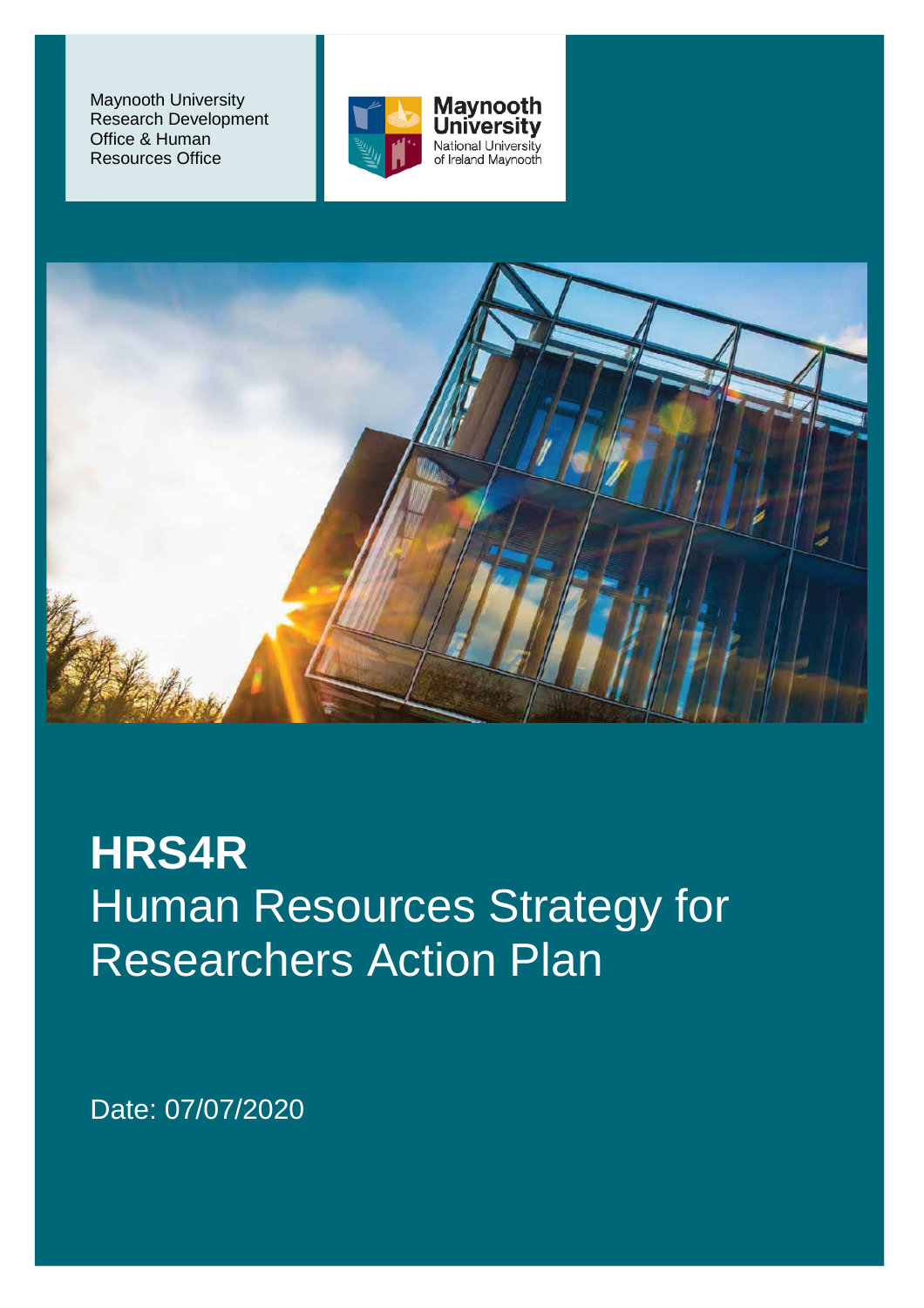Maynooth University Research Development Office & Human Resources Office





**HRS4R** Human Resources Strategy for Researchers Action Plan

Date: 07/07/2020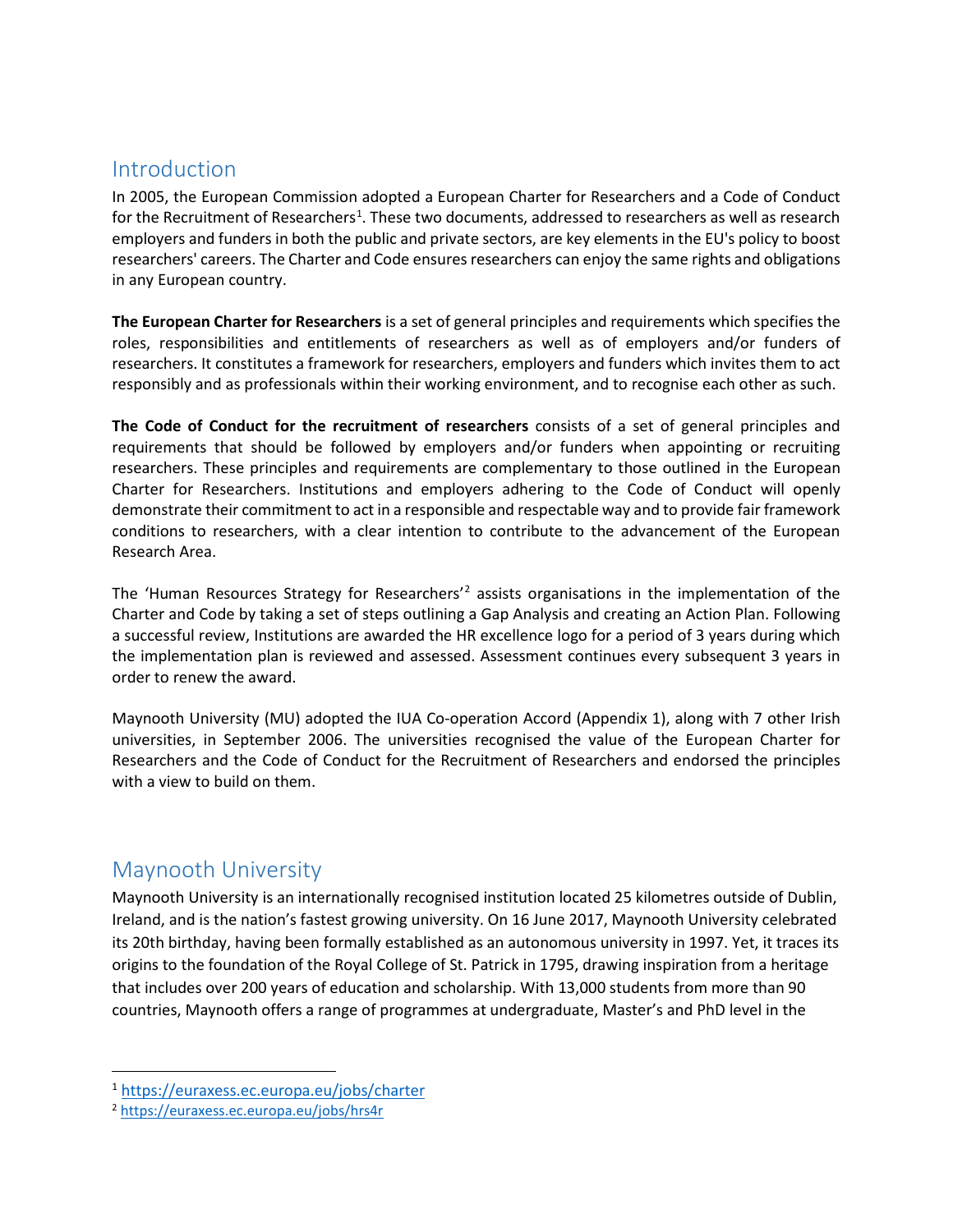#### Introduction

In 2005, the European Commission adopted a European Charter for Researchers and a Code of Conduct for the Recruitment of Researchers<sup>[1](#page-1-0)</sup>. These two documents, addressed to researchers as well as research employers and funders in both the public and private sectors, are key elements in the EU's policy to boost researchers' careers. The Charter and Code ensures researchers can enjoy the same rights and obligations in any European country.

**The European Charter for Researchers** is a set of general principles and requirements which specifies the roles, responsibilities and entitlements of researchers as well as of employers and/or funders of researchers. It constitutes a framework for researchers, employers and funders which invites them to act responsibly and as professionals within their working environment, and to recognise each other as such.

**The Code of Conduct for the recruitment of researchers** consists of a set of general principles and requirements that should be followed by employers and/or funders when appointing or recruiting researchers. These principles and requirements are complementary to those outlined in the European Charter for Researchers. Institutions and employers adhering to the Code of Conduct will openly demonstrate their commitment to act in a responsible and respectable way and to provide fair framework conditions to researchers, with a clear intention to contribute to the advancement of the European Research Area.

The 'Human Resources Strategy for Researchers'[2](#page-1-1) assists organisations in the implementation of the Charter and Code by taking a set of steps outlining a Gap Analysis and creating an Action Plan. Following a successful review, Institutions are awarded the HR excellence logo for a period of 3 years during which the implementation plan is reviewed and assessed. Assessment continues every subsequent 3 years in order to renew the award.

Maynooth University (MU) adopted the IUA Co-operation Accord (Appendix 1), along with 7 other Irish universities, in September 2006. The universities recognised the value of the European Charter for Researchers and the Code of Conduct for the Recruitment of Researchers and endorsed the principles with a view to build on them.

## Maynooth University

Maynooth University is an internationally recognised institution located 25 kilometres outside of Dublin, Ireland, and is the nation's fastest growing university. On 16 June 2017, Maynooth University celebrated its 20th birthday, having been formally established as an autonomous university in 1997. Yet, it traces its origins to the foundation of the Royal College of St. Patrick in 1795, drawing inspiration from a heritage that includes over 200 years of education and scholarship. With 13,000 students from more than 90 countries, Maynooth offers a range of programmes at undergraduate, Master's and PhD level in the

<span id="page-1-0"></span> <sup>1</sup> <https://euraxess.ec.europa.eu/jobs/charter>

<span id="page-1-1"></span><sup>2</sup> <https://euraxess.ec.europa.eu/jobs/hrs4r>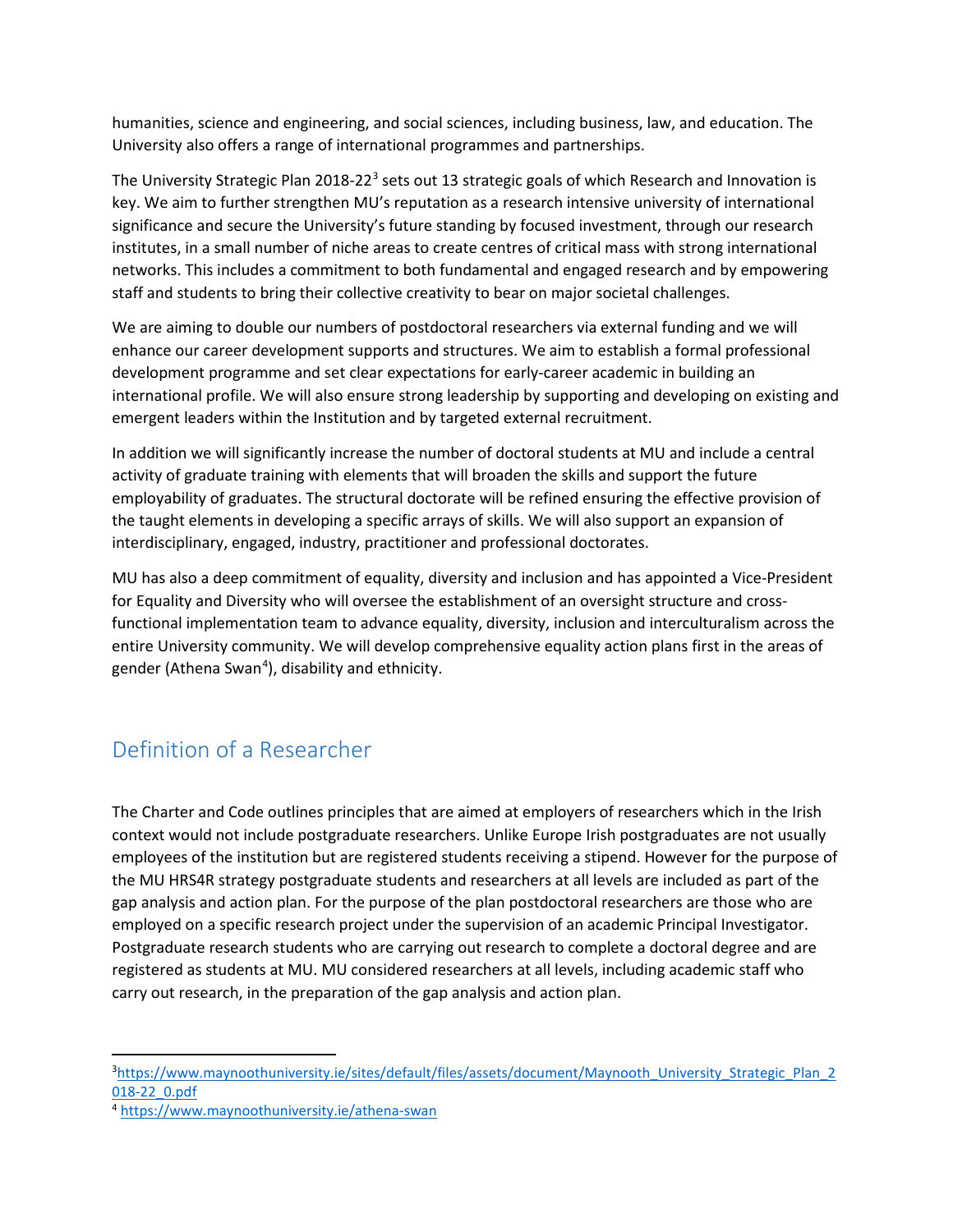humanities, science and engineering, and social sciences, including business, law, and education. The University also offers a range of international programmes and partnerships.

The University Strategic Plan 2018-22<sup>[3](#page-2-0)</sup> sets out 13 strategic goals of which Research and Innovation is key. We aim to further strengthen MU's reputation as a research intensive university of international significance and secure the University's future standing by focused investment, through our research institutes, in a small number of niche areas to create centres of critical mass with strong international networks. This includes a commitment to both fundamental and engaged research and by empowering staff and students to bring their collective creativity to bear on major societal challenges.

We are aiming to double our numbers of postdoctoral researchers via external funding and we will enhance our career development supports and structures. We aim to establish a formal professional development programme and set clear expectations for early-career academic in building an international profile. We will also ensure strong leadership by supporting and developing on existing and emergent leaders within the Institution and by targeted external recruitment.

In addition we will significantly increase the number of doctoral students at MU and include a central activity of graduate training with elements that will broaden the skills and support the future employability of graduates. The structural doctorate will be refined ensuring the effective provision of the taught elements in developing a specific arrays of skills. We will also support an expansion of interdisciplinary, engaged, industry, practitioner and professional doctorates.

MU has also a deep commitment of equality, diversity and inclusion and has appointed a Vice-President for Equality and Diversity who will oversee the establishment of an oversight structure and crossfunctional implementation team to advance equality, diversity, inclusion and interculturalism across the entire University community. We will develop comprehensive equality action plans first in the areas of gender (Athena Swan<sup>[4](#page-2-1)</sup>), disability and ethnicity.

# Definition of a Researcher

The Charter and Code outlines principles that are aimed at employers of researchers which in the Irish context would not include postgraduate researchers. Unlike Europe Irish postgraduates are not usually employees of the institution but are registered students receiving a stipend. However for the purpose of the MU HRS4R strategy postgraduate students and researchers at all levels are included as part of the gap analysis and action plan. For the purpose of the plan postdoctoral researchers are those who are employed on a specific research project under the supervision of an academic Principal Investigator. Postgraduate research students who are carrying out research to complete a doctoral degree and are registered as students at MU. MU considered researchers at all levels, including academic staff who carry out research, in the preparation of the gap analysis and action plan.

<span id="page-2-0"></span><sup>-&</sup>lt;br>3 <sup>3</sup>[https://www.maynoothuniversity.ie/sites/default/files/assets/document/Maynooth\\_University\\_Strategic\\_Plan\\_2](https://www.maynoothuniversity.ie/sites/default/files/assets/document/Maynooth_University_Strategic_Plan_2018-22_0.pdf) [018-22\\_0.pdf](https://www.maynoothuniversity.ie/sites/default/files/assets/document/Maynooth_University_Strategic_Plan_2018-22_0.pdf)

<span id="page-2-1"></span><sup>4</sup> <https://www.maynoothuniversity.ie/athena-swan>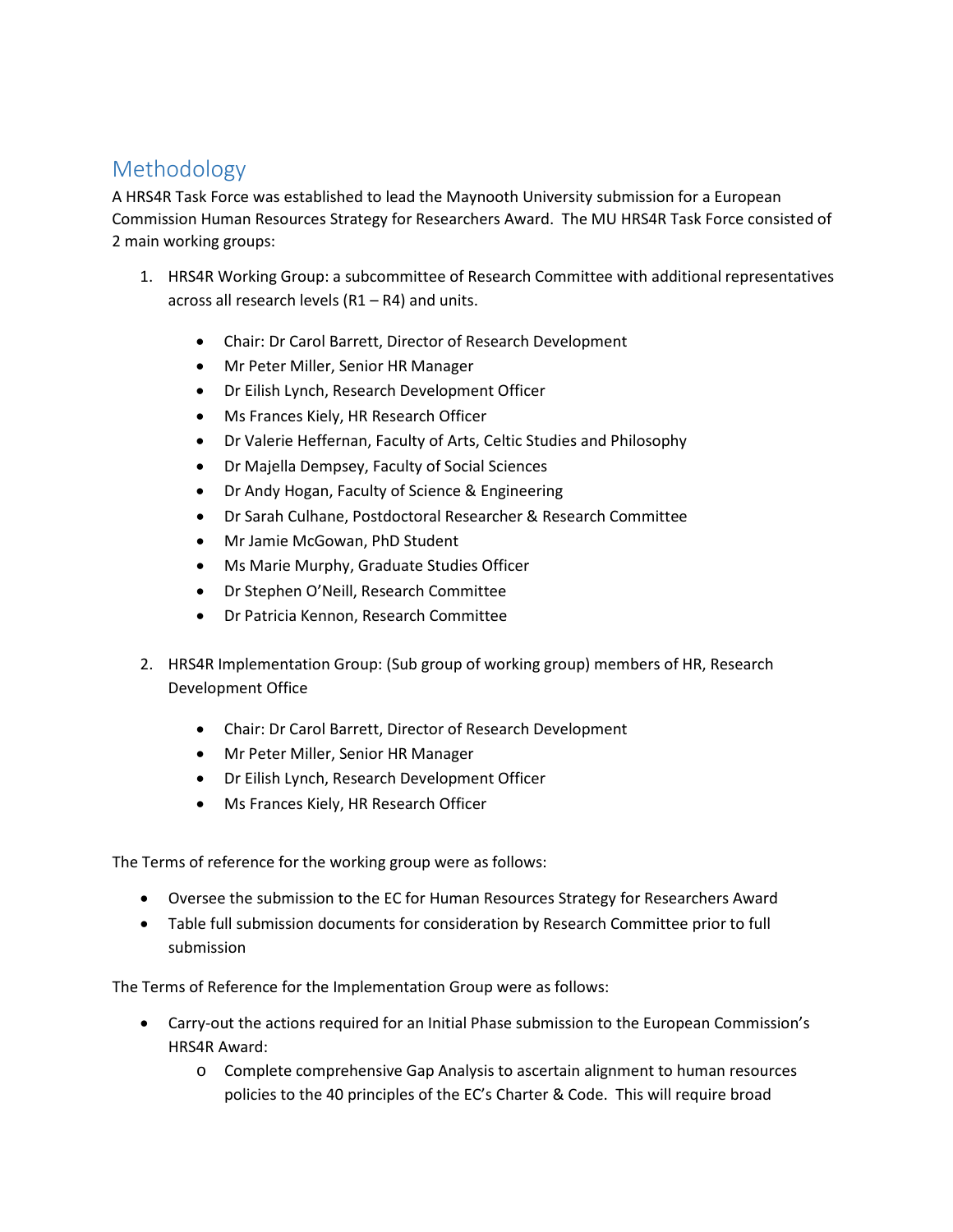# Methodology

A HRS4R Task Force was established to lead the Maynooth University submission for a European Commission Human Resources Strategy for Researchers Award. The MU HRS4R Task Force consisted of 2 main working groups:

- 1. HRS4R Working Group: a subcommittee of Research Committee with additional representatives across all research levels (R1 – R4) and units.
	- Chair: Dr Carol Barrett, Director of Research Development
	- Mr Peter Miller, Senior HR Manager
	- Dr Eilish Lynch, Research Development Officer
	- Ms Frances Kiely, HR Research Officer
	- Dr Valerie Heffernan, Faculty of Arts, Celtic Studies and Philosophy
	- Dr Majella Dempsey, Faculty of Social Sciences
	- Dr Andy Hogan, Faculty of Science & Engineering
	- Dr Sarah Culhane, Postdoctoral Researcher & Research Committee
	- Mr Jamie McGowan, PhD Student
	- Ms Marie Murphy, Graduate Studies Officer
	- Dr Stephen O'Neill, Research Committee
	- Dr Patricia Kennon, Research Committee
- 2. HRS4R Implementation Group: (Sub group of working group) members of HR, Research Development Office
	- Chair: Dr Carol Barrett, Director of Research Development
	- Mr Peter Miller, Senior HR Manager
	- Dr Eilish Lynch, Research Development Officer
	- Ms Frances Kiely, HR Research Officer

The Terms of reference for the working group were as follows:

- Oversee the submission to the EC for Human Resources Strategy for Researchers Award
- Table full submission documents for consideration by Research Committee prior to full submission

The Terms of Reference for the Implementation Group were as follows:

- Carry-out the actions required for an Initial Phase submission to the European Commission's HRS4R Award:
	- o Complete comprehensive Gap Analysis to ascertain alignment to human resources policies to the 40 principles of the EC's Charter & Code. This will require broad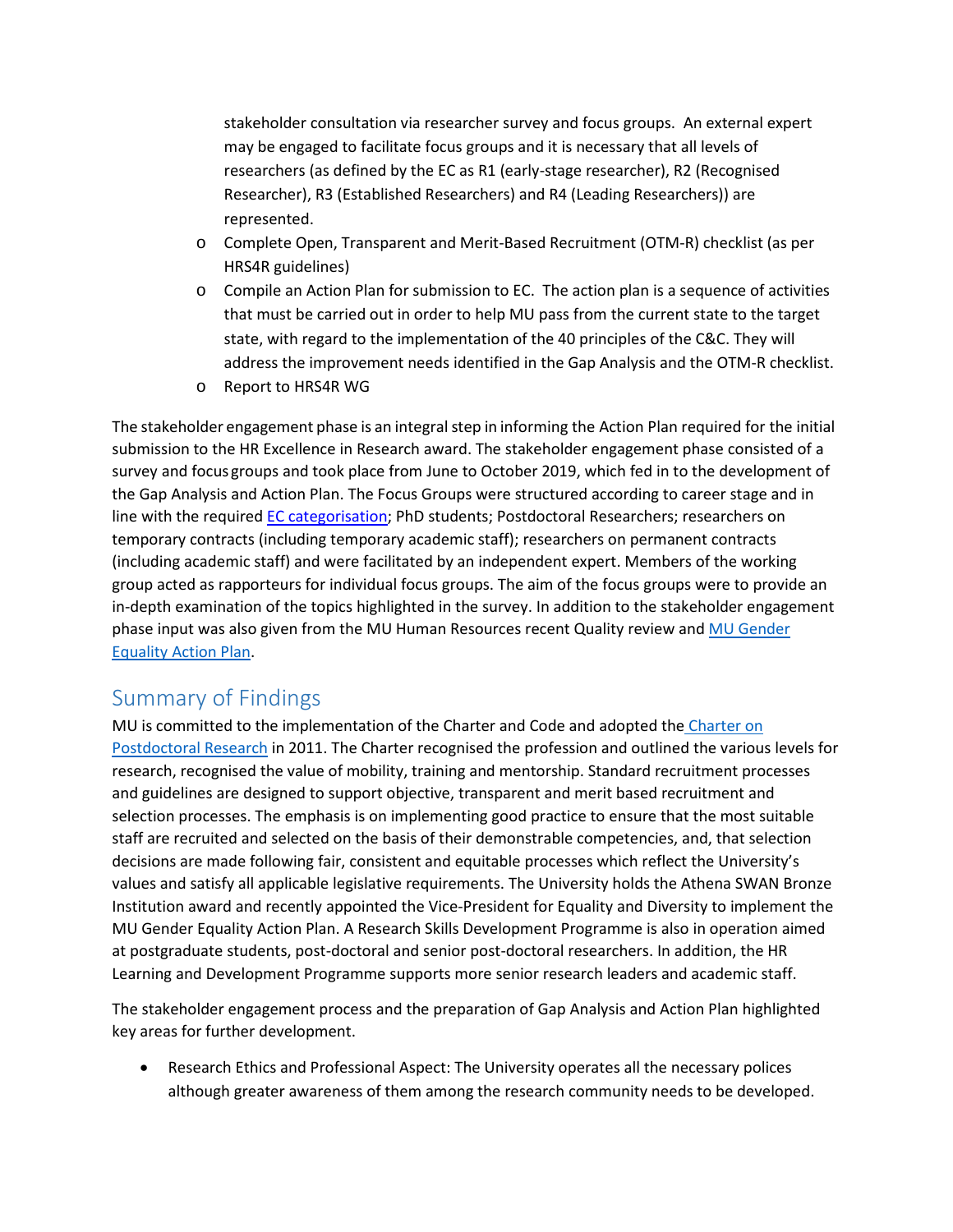stakeholder consultation via researcher survey and focus groups. An external expert may be engaged to facilitate focus groups and it is necessary that all levels of researchers (as defined by the EC as R1 (early-stage researcher), R2 (Recognised Researcher), R3 (Established Researchers) and R4 (Leading Researchers)) are represented.

- o Complete Open, Transparent and Merit-Based Recruitment (OTM-R) checklist (as per HRS4R guidelines)
- o Compile an Action Plan for submission to EC. The action plan is a sequence of activities that must be carried out in order to help MU pass from the current state to the target state, with regard to the implementation of the 40 principles of the C&C. They will address the improvement needs identified in the Gap Analysis and the OTM-R checklist.
- o Report to HRS4R WG

The stakeholder engagement phase is an integral step in informing the Action Plan required for the initial submission to the HR Excellence in Research award. The stakeholder engagement phase consisted of a survey and focus groups and took place from June to October 2019, which fed in to the development of the Gap Analysis and Action Plan. The Focus Groups were structured according to career stage and in line with the require[d EC](https://euraxess.ec.europa.eu/europe/career-development/training-researchers/research-profiles-descriptors) [categorisation;](https://euraxess.ec.europa.eu/europe/career-development/training-researchers/research-profiles-descriptors) PhD students; Postdoctoral Researchers; researchers on temporary contracts (including temporary academic staff); researchers on permanent contracts (including academic staff) and were facilitated by an independent expert. Members of the working group acted as rapporteurs for individual focus groups. The aim of the focus groups were to provide an in-depth examination of the topics highlighted in the survey. In addition to the stakeholder engagement phase input was also given from the MU Human Resources recent Quality review and MU Gender [Equality Action Plan.](https://www.maynoothuniversity.ie/sites/default/files/assets/document/Maynooth%20University%20Athena%20SWAN%20Bronze%20Institution%20Award%20Application%20FINAL%20WEB.pdf)

## Summary of Findings

MU is committed to the implementation of the Charter and Code and adopted the Charter on [Postdoctoral Research](https://www.maynoothuniversity.ie/sites/default/files/assets/document/PostdoctoralCharter-Final.pdf) in 2011. The Charter recognised the profession and outlined the various levels for research, recognised the value of mobility, training and mentorship. Standard recruitment processes and guidelines are designed to support objective, transparent and merit based recruitment and selection processes. The emphasis is on implementing good practice to ensure that the most suitable staff are recruited and selected on the basis of their demonstrable competencies, and, that selection decisions are made following fair, consistent and equitable processes which reflect the University's values and satisfy all applicable legislative requirements. The University holds the Athena SWAN Bronze Institution award and recently appointed the Vice-President for Equality and Diversity to implement the MU Gender Equality Action Plan. A Research Skills Development Programme is also in operation aimed at postgraduate students, post-doctoral and senior post-doctoral researchers. In addition, the HR Learning and Development Programme supports more senior research leaders and academic staff.

The stakeholder engagement process and the preparation of Gap Analysis and Action Plan highlighted key areas for further development.

• Research Ethics and Professional Aspect: The University operates all the necessary polices although greater awareness of them among the research community needs to be developed.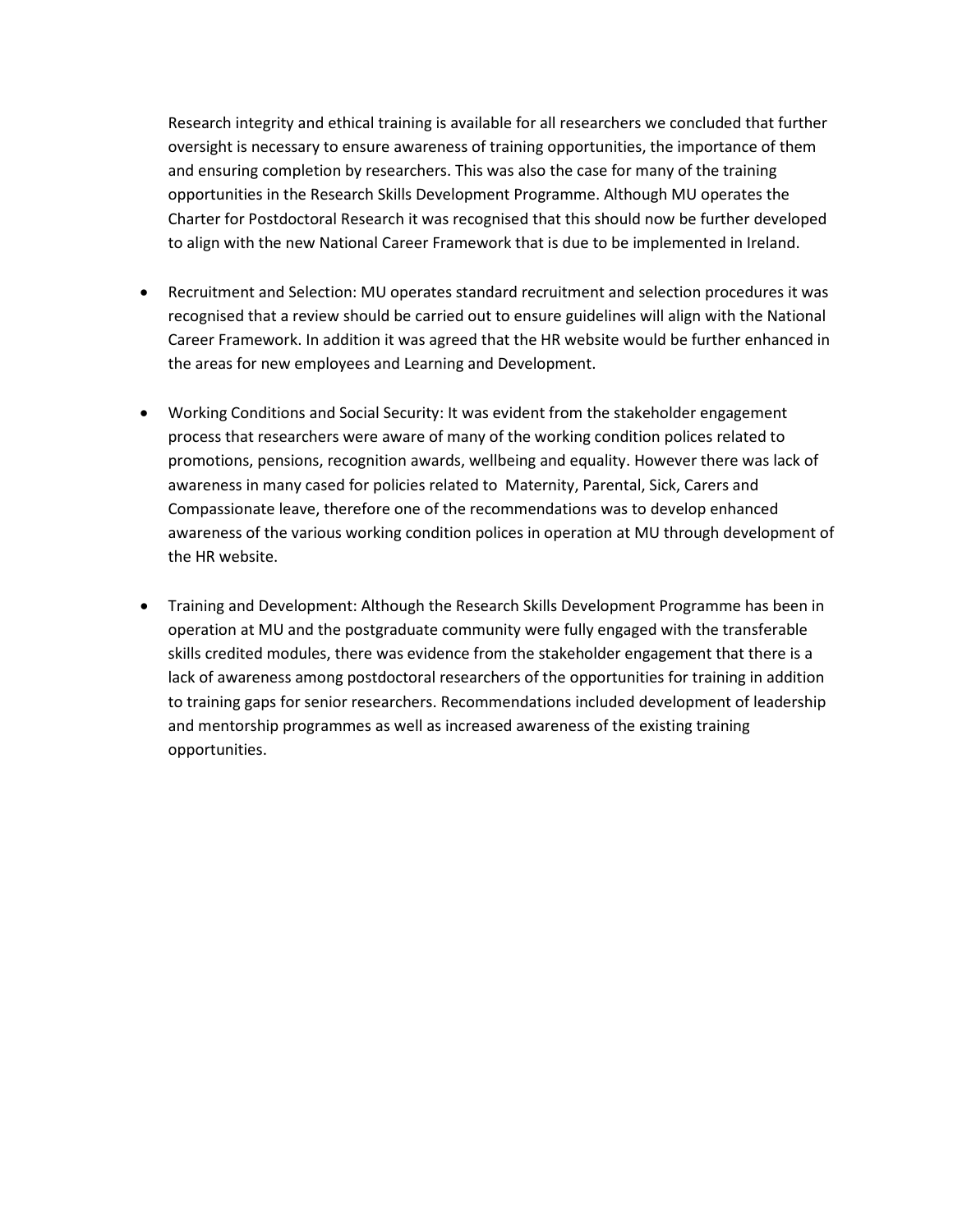Research integrity and ethical training is available for all researchers we concluded that further oversight is necessary to ensure awareness of training opportunities, the importance of them and ensuring completion by researchers. This was also the case for many of the training opportunities in the Research Skills Development Programme. Although MU operates the Charter for Postdoctoral Research it was recognised that this should now be further developed to align with the new National Career Framework that is due to be implemented in Ireland.

- Recruitment and Selection: MU operates standard recruitment and selection procedures it was recognised that a review should be carried out to ensure guidelines will align with the National Career Framework. In addition it was agreed that the HR website would be further enhanced in the areas for new employees and Learning and Development.
- Working Conditions and Social Security: It was evident from the stakeholder engagement process that researchers were aware of many of the working condition polices related to promotions, pensions, recognition awards, wellbeing and equality. However there was lack of awareness in many cased for policies related to Maternity, Parental, Sick, Carers and Compassionate leave, therefore one of the recommendations was to develop enhanced awareness of the various working condition polices in operation at MU through development of the HR website.
- Training and Development: Although the Research Skills Development Programme has been in operation at MU and the postgraduate community were fully engaged with the transferable skills credited modules, there was evidence from the stakeholder engagement that there is a lack of awareness among postdoctoral researchers of the opportunities for training in addition to training gaps for senior researchers. Recommendations included development of leadership and mentorship programmes as well as increased awareness of the existing training opportunities.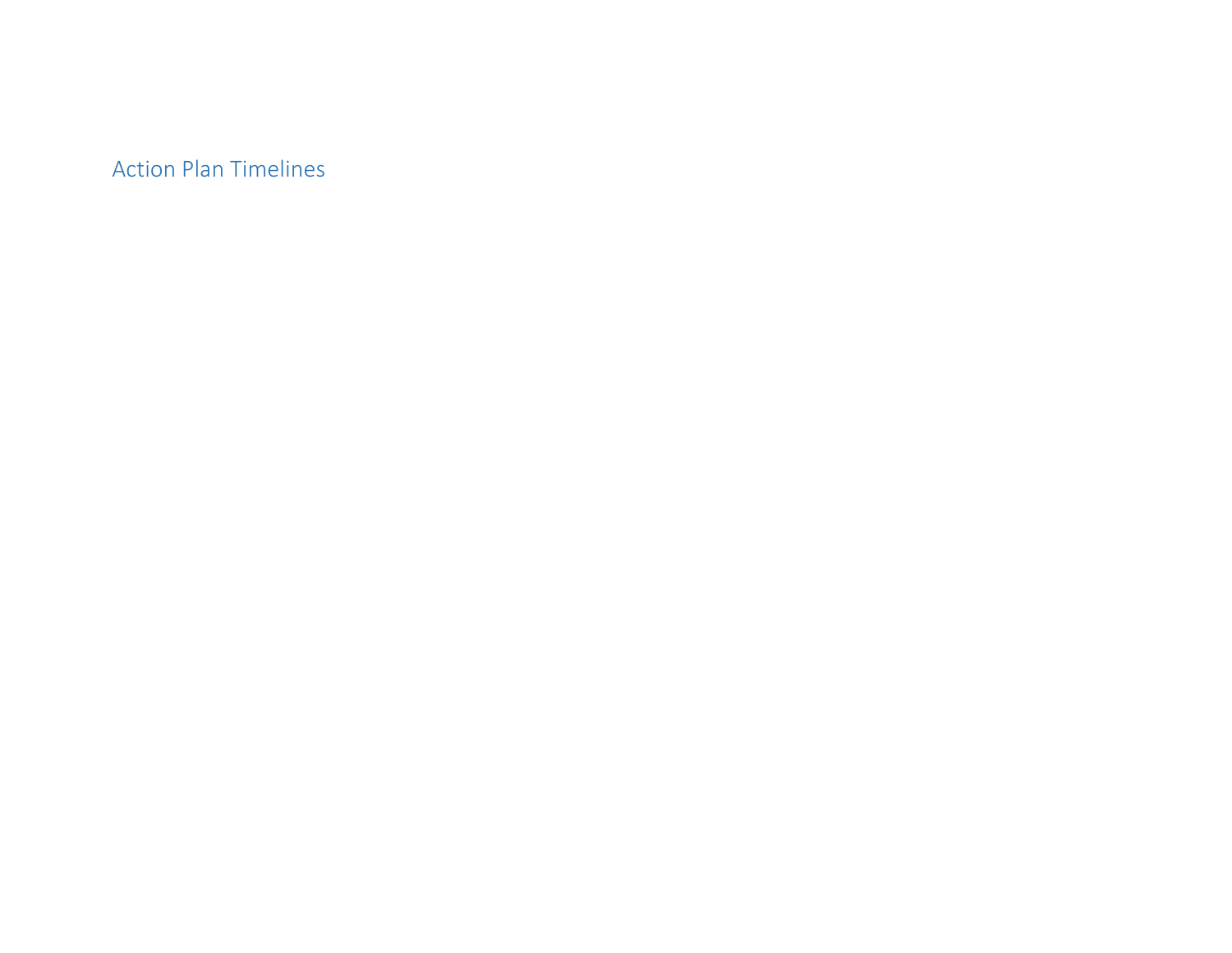Action Plan Timelines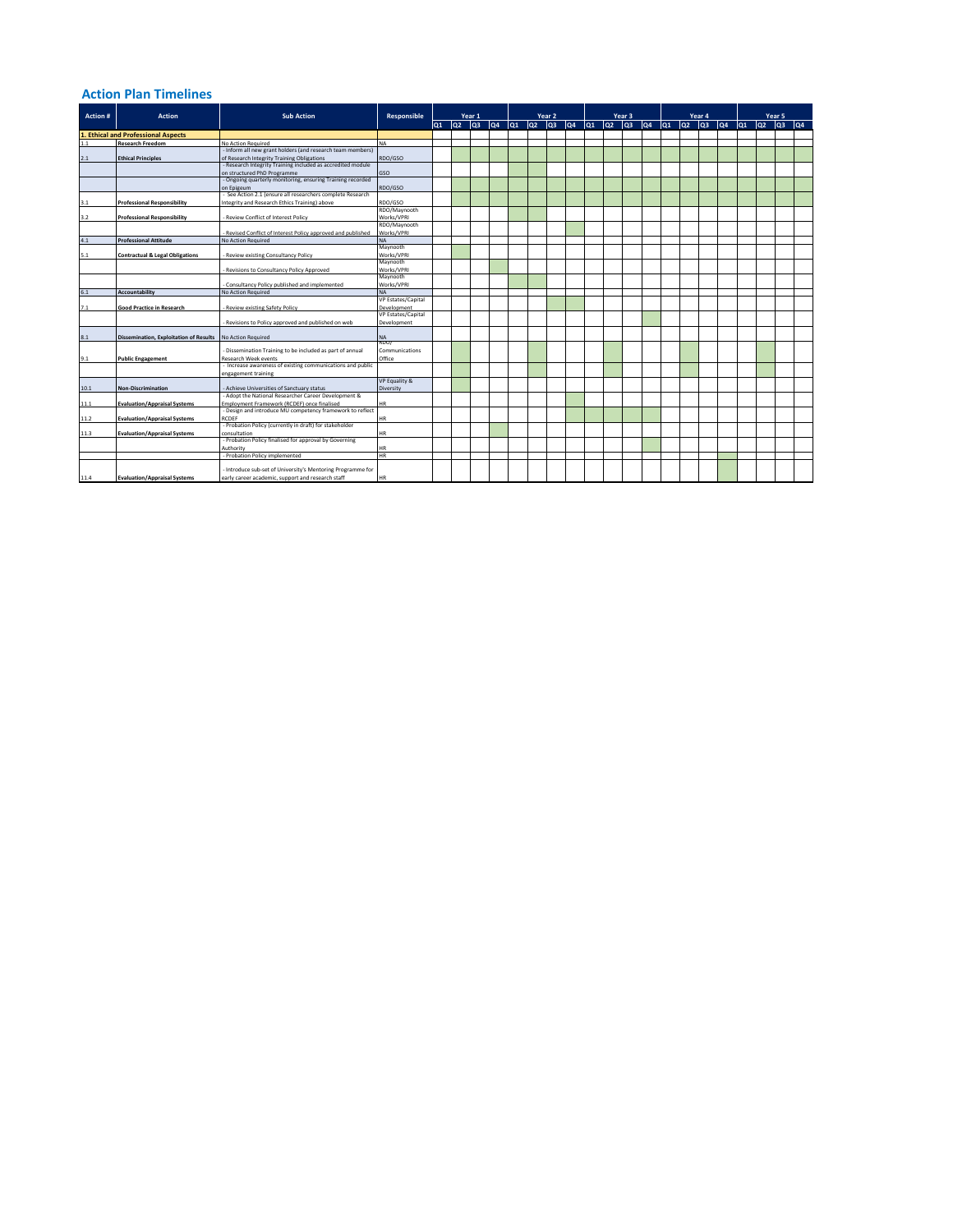#### **Action Plan Timelines**

|                                                        |                                               |                                                              |                    | Year 1 |                 |                 |    | Year <sub>2</sub> |     |     |     |      |                 |                           |                   |     |     |               |                    | Year 5   |                 |     |     |  |
|--------------------------------------------------------|-----------------------------------------------|--------------------------------------------------------------|--------------------|--------|-----------------|-----------------|----|-------------------|-----|-----|-----|------|-----------------|---------------------------|-------------------|-----|-----|---------------|--------------------|----------|-----------------|-----|-----|--|
| Action #<br>1. Ethical and Professional Aspects<br>1.1 | <b>Action</b>                                 | <b>Sub Action</b>                                            | Responsible        | lo1    | lo <sub>2</sub> | lo <sub>3</sub> | Q4 | lo1               | loz | loз | lQ4 | lo1. | lo <sub>2</sub> | Year 3<br>lo <sub>3</sub> | $ _{\mathbf{Q}4}$ | lo1 | loz | Year 4<br>loз | $ _{\mathbf{Q}}$ 4 | $ _{01}$ | lo <sub>2</sub> | lo3 | lQ4 |  |
|                                                        |                                               |                                                              |                    |        |                 |                 |    |                   |     |     |     |      |                 |                           |                   |     |     |               |                    |          |                 |     |     |  |
|                                                        | <b>Research Freedom</b>                       | No Action Required                                           | <b>NA</b>          |        |                 |                 |    |                   |     |     |     |      |                 |                           |                   |     |     |               |                    |          |                 |     |     |  |
|                                                        |                                               | - Inform all new grant holders (and research team members)   |                    |        |                 |                 |    |                   |     |     |     |      |                 |                           |                   |     |     |               |                    |          |                 |     |     |  |
| 2.1                                                    | <b>Ethical Principles</b>                     | of Research Integrity Training Obligations                   | RDO/GSO            |        |                 |                 |    |                   |     |     |     |      |                 |                           |                   |     |     |               |                    |          |                 |     |     |  |
|                                                        |                                               | - Research Integrity Training included as accredited module  |                    |        |                 |                 |    |                   |     |     |     |      |                 |                           |                   |     |     |               |                    |          |                 |     |     |  |
|                                                        |                                               | on structured PhD Programme                                  | GSO                |        |                 |                 |    |                   |     |     |     |      |                 |                           |                   |     |     |               |                    |          |                 |     |     |  |
|                                                        |                                               | - Ongoing quarterly monitoring, ensuring Training recorded   |                    |        |                 |                 |    |                   |     |     |     |      |                 |                           |                   |     |     |               |                    |          |                 |     |     |  |
|                                                        |                                               | on Epigeum                                                   | RDO/GSO            |        |                 |                 |    |                   |     |     |     |      |                 |                           |                   |     |     |               |                    |          |                 |     |     |  |
|                                                        |                                               | - See Action 2.1 (ensure all researchers complete Research   |                    |        |                 |                 |    |                   |     |     |     |      |                 |                           |                   |     |     |               |                    |          |                 |     |     |  |
| 3.1                                                    | <b>Professional Responsibility</b>            | Integrity and Research Ethics Training) above                | RDO/GSO            |        |                 |                 |    |                   |     |     |     |      |                 |                           |                   |     |     |               |                    |          |                 |     |     |  |
|                                                        |                                               |                                                              | RDO/Maynooth       |        |                 |                 |    |                   |     |     |     |      |                 |                           |                   |     |     |               |                    |          |                 |     |     |  |
| 3.2                                                    | <b>Professional Responsibility</b>            | - Review Conflict of Interest Policy                         | Works/VPRI         |        |                 |                 |    |                   |     |     |     |      |                 |                           |                   |     |     |               |                    |          |                 |     |     |  |
|                                                        |                                               |                                                              | RDO/Maynooth       |        |                 |                 |    |                   |     |     |     |      |                 |                           |                   |     |     |               |                    |          |                 |     |     |  |
|                                                        |                                               | - Revised Conflict of Interest Policy approved and published | Works/VPRI         |        |                 |                 |    |                   |     |     |     |      |                 |                           |                   |     |     |               |                    |          |                 |     |     |  |
| 4.1                                                    | <b>Professional Attitude</b>                  | No Action Required                                           | <b>NA</b>          |        |                 |                 |    |                   |     |     |     |      |                 |                           |                   |     |     |               |                    |          |                 |     |     |  |
|                                                        |                                               |                                                              | Maynooth           |        |                 |                 |    |                   |     |     |     |      |                 |                           |                   |     |     |               |                    |          |                 |     |     |  |
| 5.1                                                    | <b>Contractual &amp; Legal Obligations</b>    | - Review existing Consultancy Policy                         | Works/VPRI         |        |                 |                 |    |                   |     |     |     |      |                 |                           |                   |     |     |               |                    |          |                 |     |     |  |
|                                                        |                                               |                                                              | Maynooth           |        |                 |                 |    |                   |     |     |     |      |                 |                           |                   |     |     |               |                    |          |                 |     |     |  |
|                                                        |                                               | Revisions to Consultancy Policy Approved                     | Works/VPRI         |        |                 |                 |    |                   |     |     |     |      |                 |                           |                   |     |     |               |                    |          |                 |     |     |  |
|                                                        |                                               |                                                              | Maynooth           |        |                 |                 |    |                   |     |     |     |      |                 |                           |                   |     |     |               |                    |          |                 |     |     |  |
|                                                        |                                               | Consultancy Policy published and implemented                 | Works/VPRI         |        |                 |                 |    |                   |     |     |     |      |                 |                           |                   |     |     |               |                    |          |                 |     |     |  |
| 6.1                                                    | <b>Accountability</b>                         | No Action Required                                           | <b>NA</b>          |        |                 |                 |    |                   |     |     |     |      |                 |                           |                   |     |     |               |                    |          |                 |     |     |  |
|                                                        |                                               |                                                              | VP Estates/Capital |        |                 |                 |    |                   |     |     |     |      |                 |                           |                   |     |     |               |                    |          |                 |     |     |  |
| 7.1                                                    | <b>Good Practice in Research</b>              | - Review existing Safety Policy                              | Development        |        |                 |                 |    |                   |     |     |     |      |                 |                           |                   |     |     |               |                    |          |                 |     |     |  |
|                                                        |                                               |                                                              | VP Estates/Capital |        |                 |                 |    |                   |     |     |     |      |                 |                           |                   |     |     |               |                    |          |                 |     |     |  |
|                                                        |                                               | - Revisions to Policy approved and published on web          | Development        |        |                 |                 |    |                   |     |     |     |      |                 |                           |                   |     |     |               |                    |          |                 |     |     |  |
|                                                        |                                               |                                                              |                    |        |                 |                 |    |                   |     |     |     |      |                 |                           |                   |     |     |               |                    |          |                 |     |     |  |
| 8.1                                                    | <b>Dissemination, Exploitation of Results</b> | No Action Required                                           | <b>NA</b><br>RDO/  |        |                 |                 |    |                   |     |     |     |      |                 |                           |                   |     |     |               |                    |          |                 |     |     |  |
|                                                        |                                               | Dissemination Training to be included as part of annual      | Communications     |        |                 |                 |    |                   |     |     |     |      |                 |                           |                   |     |     |               |                    |          |                 |     |     |  |
|                                                        |                                               | <b>Research Week events</b>                                  | Office             |        |                 |                 |    |                   |     |     |     |      |                 |                           |                   |     |     |               |                    |          |                 |     |     |  |
| 9.1                                                    | <b>Public Engagement</b>                      | Increase awareness of existing communications and public     |                    |        |                 |                 |    |                   |     |     |     |      |                 |                           |                   |     |     |               |                    |          |                 |     |     |  |
|                                                        |                                               | engagement training                                          |                    |        |                 |                 |    |                   |     |     |     |      |                 |                           |                   |     |     |               |                    |          |                 |     |     |  |
|                                                        |                                               |                                                              | VP Equality &      |        |                 |                 |    |                   |     |     |     |      |                 |                           |                   |     |     |               |                    |          |                 |     |     |  |
| 10.1                                                   | <b>Non-Discrimination</b>                     | - Achieve Universities of Sanctuary status                   | Diversity          |        |                 |                 |    |                   |     |     |     |      |                 |                           |                   |     |     |               |                    |          |                 |     |     |  |
|                                                        |                                               | - Adopt the National Researcher Career Development &         |                    |        |                 |                 |    |                   |     |     |     |      |                 |                           |                   |     |     |               |                    |          |                 |     |     |  |
| 11.1                                                   | <b>Evaluation/Appraisal Systems</b>           | Employment Framework (RCDEF) once finalised                  | <b>HR</b>          |        |                 |                 |    |                   |     |     |     |      |                 |                           |                   |     |     |               |                    |          |                 |     |     |  |
|                                                        |                                               | - Design and introduce MU competency framework to reflect    |                    |        |                 |                 |    |                   |     |     |     |      |                 |                           |                   |     |     |               |                    |          |                 |     |     |  |
| 11.2                                                   | <b>Evaluation/Appraisal Systems</b>           | <b>RCDEF</b>                                                 | HR                 |        |                 |                 |    |                   |     |     |     |      |                 |                           |                   |     |     |               |                    |          |                 |     |     |  |
|                                                        |                                               | - Probation Policy (currently in draft) for stakeholder      |                    |        |                 |                 |    |                   |     |     |     |      |                 |                           |                   |     |     |               |                    |          |                 |     |     |  |
| 11.3                                                   | <b>Evaluation/Appraisal Systems</b>           | consultation                                                 | HR                 |        |                 |                 |    |                   |     |     |     |      |                 |                           |                   |     |     |               |                    |          |                 |     |     |  |
|                                                        |                                               | - Probation Policy finalised for approval by Governing       |                    |        |                 |                 |    |                   |     |     |     |      |                 |                           |                   |     |     |               |                    |          |                 |     |     |  |
|                                                        |                                               | Authority                                                    | ΗR                 |        |                 |                 |    |                   |     |     |     |      |                 |                           |                   |     |     |               |                    |          |                 |     |     |  |
|                                                        |                                               | - Probation Policy implemented                               | <b>HR</b>          |        |                 |                 |    |                   |     |     |     |      |                 |                           |                   |     |     |               |                    |          |                 |     |     |  |
|                                                        |                                               |                                                              |                    |        |                 |                 |    |                   |     |     |     |      |                 |                           |                   |     |     |               |                    |          |                 |     |     |  |
|                                                        |                                               | - Introduce sub-set of University's Mentoring Programme for  |                    |        |                 |                 |    |                   |     |     |     |      |                 |                           |                   |     |     |               |                    |          |                 |     |     |  |
| 11.4                                                   | <b>Evaluation/Appraisal Systems</b>           | early career academic, support and research staff            | HR                 |        |                 |                 |    |                   |     |     |     |      |                 |                           |                   |     |     |               |                    |          |                 |     |     |  |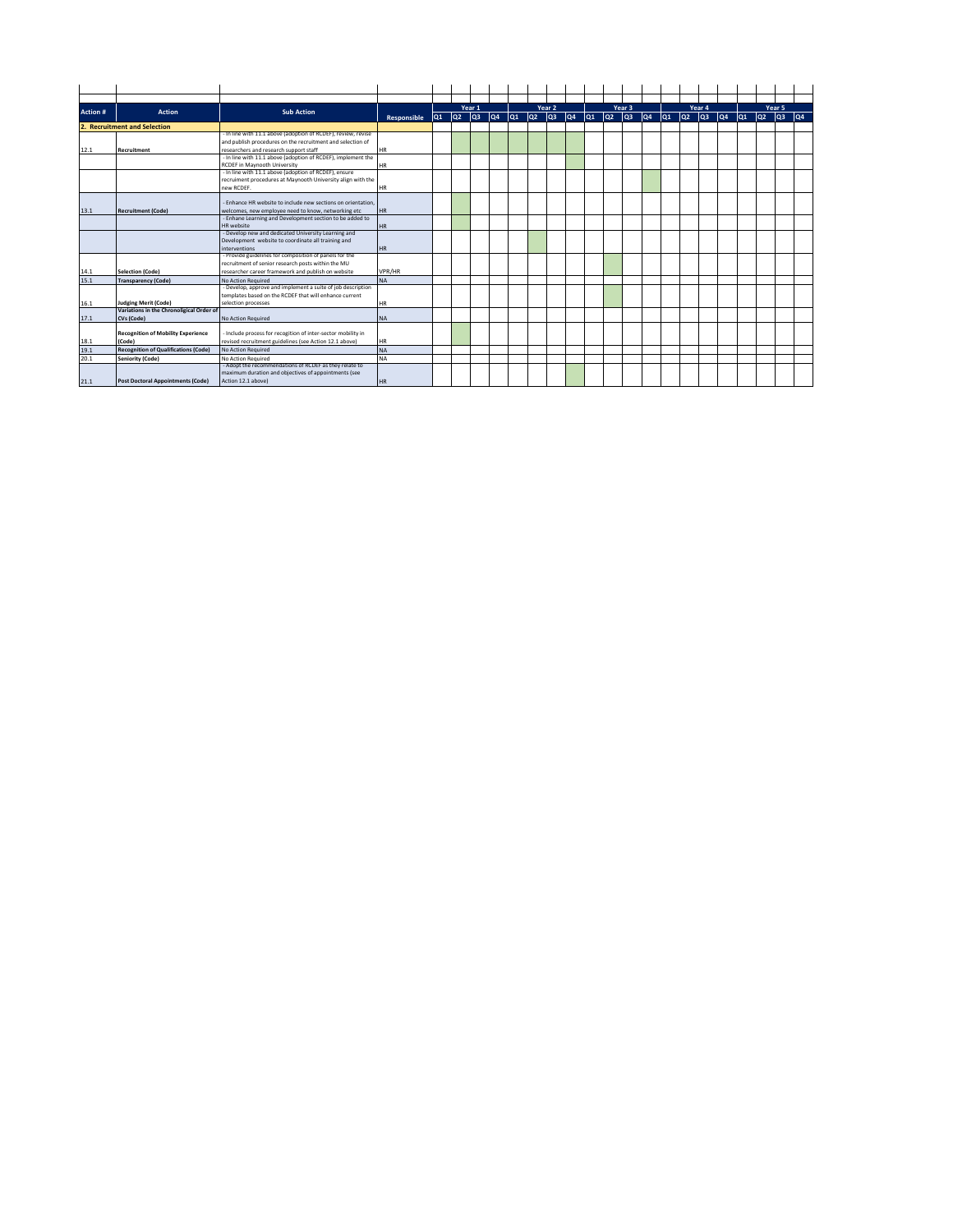| Action # | <b>Action</b>                               | <b>Sub Action</b>                                                            |             |     | Year 1          |                   |                    |                 |                   | Year 2          |     |     |                 | Year 3          |                   |                   |                   | Year 4          |     | Year 5 |         |                   |
|----------|---------------------------------------------|------------------------------------------------------------------------------|-------------|-----|-----------------|-------------------|--------------------|-----------------|-------------------|-----------------|-----|-----|-----------------|-----------------|-------------------|-------------------|-------------------|-----------------|-----|--------|---------|-------------------|
|          |                                             |                                                                              | Responsible | lQ1 | lo <sub>2</sub> | $ _{\mathbf{Q}3}$ | $ _{\mathbf{Q}}$ 4 | lo <sub>1</sub> | $ _{\mathrm{Q2}}$ | lo <sub>3</sub> | lQ4 | lo1 | lo <sub>2</sub> | lo <sub>3</sub> | $ _{\mathbf{Q}4}$ | $ _{\mathrm{Q1}}$ | $ _{\mathrm{Q2}}$ | lo <sub>3</sub> | lQ4 | lo1    | log log | $ _{\mathbf{Q4}}$ |
|          | 2. Recruitment and Selection                |                                                                              |             |     |                 |                   |                    |                 |                   |                 |     |     |                 |                 |                   |                   |                   |                 |     |        |         |                   |
|          |                                             | - In line with 11.1 above (adoption of RCDEF), review, revise                |             |     |                 |                   |                    |                 |                   |                 |     |     |                 |                 |                   |                   |                   |                 |     |        |         |                   |
|          |                                             | and publish procedures on the recruitment and selection of                   |             |     |                 |                   |                    |                 |                   |                 |     |     |                 |                 |                   |                   |                   |                 |     |        |         |                   |
| 12.1     | <b>Recruitment</b>                          | researchers and research support staff                                       | <b>HR</b>   |     |                 |                   |                    |                 |                   |                 |     |     |                 |                 |                   |                   |                   |                 |     |        |         |                   |
|          |                                             | - In line with 11.1 above (adoption of RCDEF), implement the                 |             |     |                 |                   |                    |                 |                   |                 |     |     |                 |                 |                   |                   |                   |                 |     |        |         |                   |
|          |                                             | RCDEF in Maynooth University                                                 | <b>HR</b>   |     |                 |                   |                    |                 |                   |                 |     |     |                 |                 |                   |                   |                   |                 |     |        |         |                   |
|          |                                             | - In line with 11.1 above (adoption of RCDEF), ensure                        |             |     |                 |                   |                    |                 |                   |                 |     |     |                 |                 |                   |                   |                   |                 |     |        |         |                   |
|          |                                             | recruiment procedures at Maynooth University align with the                  |             |     |                 |                   |                    |                 |                   |                 |     |     |                 |                 |                   |                   |                   |                 |     |        |         |                   |
|          |                                             | new RCDEF.                                                                   | HR          |     |                 |                   |                    |                 |                   |                 |     |     |                 |                 |                   |                   |                   |                 |     |        |         |                   |
|          |                                             |                                                                              |             |     |                 |                   |                    |                 |                   |                 |     |     |                 |                 |                   |                   |                   |                 |     |        |         |                   |
|          |                                             | Enhance HR website to include new sections on orientation.                   |             |     |                 |                   |                    |                 |                   |                 |     |     |                 |                 |                   |                   |                   |                 |     |        |         |                   |
| 13.1     | <b>Recruitment (Code)</b>                   | welcomes, new employee need to know, networking etc                          | <b>HR</b>   |     |                 |                   |                    |                 |                   |                 |     |     |                 |                 |                   |                   |                   |                 |     |        |         |                   |
|          |                                             | Enhane Learning and Development section to be added to                       |             |     |                 |                   |                    |                 |                   |                 |     |     |                 |                 |                   |                   |                   |                 |     |        |         |                   |
|          |                                             | <b>HR</b> website                                                            | <b>HR</b>   |     |                 |                   |                    |                 |                   |                 |     |     |                 |                 |                   |                   |                   |                 |     |        |         |                   |
|          |                                             | Develop new and dedicated University Learning and                            |             |     |                 |                   |                    |                 |                   |                 |     |     |                 |                 |                   |                   |                   |                 |     |        |         |                   |
|          |                                             | Development website to coordinate all training and                           |             |     |                 |                   |                    |                 |                   |                 |     |     |                 |                 |                   |                   |                   |                 |     |        |         |                   |
|          |                                             | interventions<br>- Provide guidelines for composition of panels for the      | <b>HR</b>   |     |                 |                   |                    |                 |                   |                 |     |     |                 |                 |                   |                   |                   |                 |     |        |         |                   |
|          |                                             |                                                                              |             |     |                 |                   |                    |                 |                   |                 |     |     |                 |                 |                   |                   |                   |                 |     |        |         |                   |
|          |                                             | recruitment of senior research posts within the MU                           |             |     |                 |                   |                    |                 |                   |                 |     |     |                 |                 |                   |                   |                   |                 |     |        |         |                   |
| 14.1     | <b>Selection (Code)</b>                     | researcher career framework and publish on website                           | VPR/HR      |     |                 |                   |                    |                 |                   |                 |     |     |                 |                 |                   |                   |                   |                 |     |        |         |                   |
| 15.1     | <b>Transparency (Code)</b>                  | No Action Required                                                           | <b>NA</b>   |     |                 |                   |                    |                 |                   |                 |     |     |                 |                 |                   |                   |                   |                 |     |        |         |                   |
|          |                                             | - Develop, approve and implement a suite of job description                  |             |     |                 |                   |                    |                 |                   |                 |     |     |                 |                 |                   |                   |                   |                 |     |        |         |                   |
|          |                                             | templates based on the RCDEF that will enhance current                       |             |     |                 |                   |                    |                 |                   |                 |     |     |                 |                 |                   |                   |                   |                 |     |        |         |                   |
| 16.1     | <b>Judging Merit (Code)</b>                 | selection processes                                                          | <b>HR</b>   |     |                 |                   |                    |                 |                   |                 |     |     |                 |                 |                   |                   |                   |                 |     |        |         |                   |
|          | Variations in the Chronoligical Order of    |                                                                              |             |     |                 |                   |                    |                 |                   |                 |     |     |                 |                 |                   |                   |                   |                 |     |        |         |                   |
| 17.1     | CVs (Code)                                  | <b>No Action Required</b>                                                    | <b>NA</b>   |     |                 |                   |                    |                 |                   |                 |     |     |                 |                 |                   |                   |                   |                 |     |        |         |                   |
|          | <b>Recognition of Mobility Experience</b>   | - Include process for recogition of inter-sector mobility in                 |             |     |                 |                   |                    |                 |                   |                 |     |     |                 |                 |                   |                   |                   |                 |     |        |         |                   |
| 18.1     | (Code)                                      | revised recruitment guidelines (see Action 12.1 above)                       | <b>HR</b>   |     |                 |                   |                    |                 |                   |                 |     |     |                 |                 |                   |                   |                   |                 |     |        |         |                   |
| 19.1     |                                             | <b>No Action Required</b>                                                    | <b>NA</b>   |     |                 |                   |                    |                 |                   |                 |     |     |                 |                 |                   |                   |                   |                 |     |        |         |                   |
| 20.1     | <b>Recognition of Qualifications (Code)</b> |                                                                              | <b>NA</b>   |     |                 |                   |                    |                 |                   |                 |     |     |                 |                 |                   |                   |                   |                 |     |        |         |                   |
|          | <b>Seniority (Code)</b>                     | No Action Required<br>- Adopt the recommendations of RCDEF as they relate to |             |     |                 |                   |                    |                 |                   |                 |     |     |                 |                 |                   |                   |                   |                 |     |        |         |                   |
|          |                                             | maximum duration and objectives of appointments (see                         |             |     |                 |                   |                    |                 |                   |                 |     |     |                 |                 |                   |                   |                   |                 |     |        |         |                   |
|          | <b>Post Doctoral Appointments (Code)</b>    | Action 12.1 above)                                                           | <b>HR</b>   |     |                 |                   |                    |                 |                   |                 |     |     |                 |                 |                   |                   |                   |                 |     |        |         |                   |
| 21.1     |                                             |                                                                              |             |     |                 |                   |                    |                 |                   |                 |     |     |                 |                 |                   |                   |                   |                 |     |        |         |                   |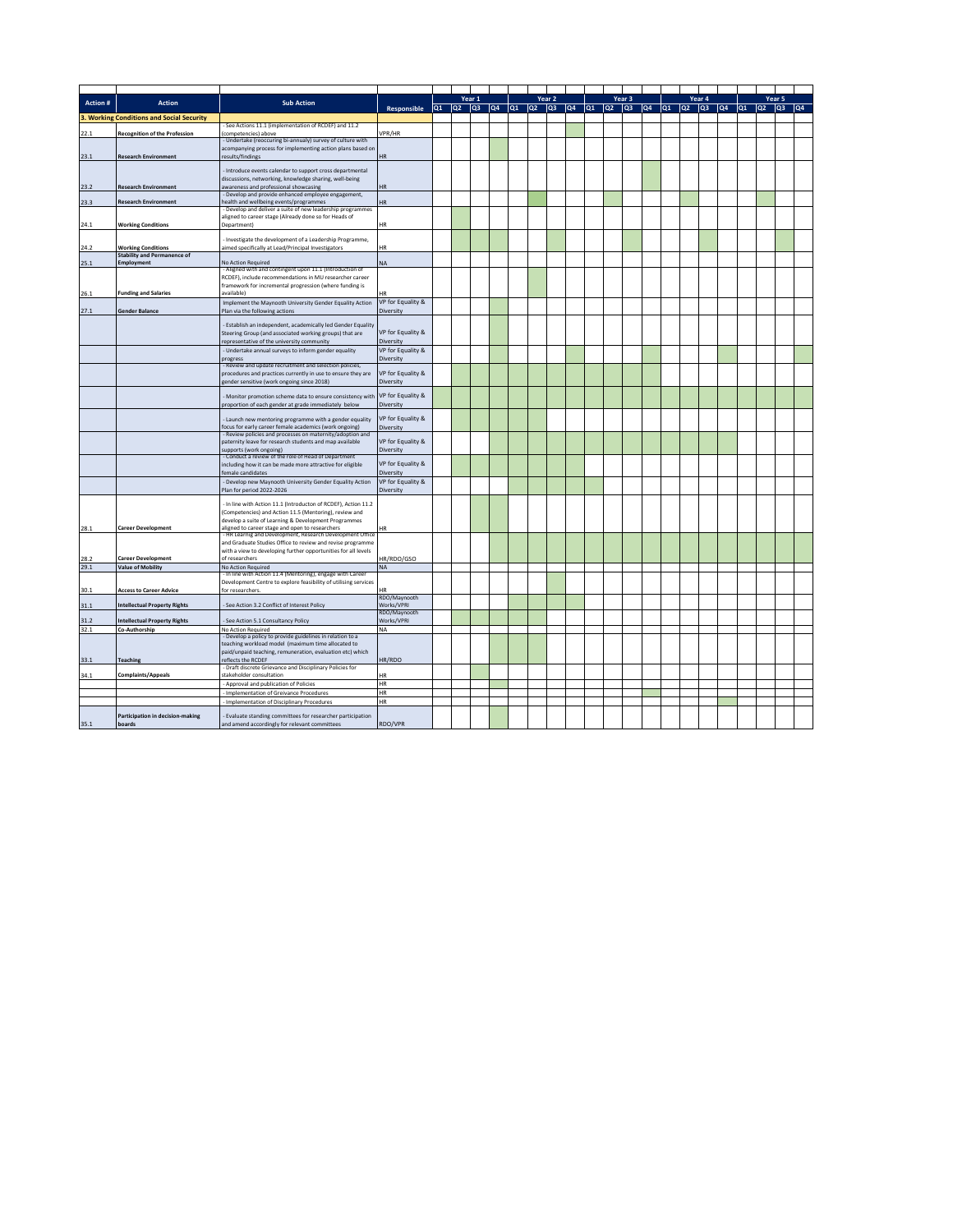|          |                                                                 |                                                                                                                               |                                |      |    | Year 1 |    |         |       | Year <sub>2</sub> |               | Year 3 |     |    |    |                | Year 4 |    |         | Year 5 |     |                   |
|----------|-----------------------------------------------------------------|-------------------------------------------------------------------------------------------------------------------------------|--------------------------------|------|----|--------|----|---------|-------|-------------------|---------------|--------|-----|----|----|----------------|--------|----|---------|--------|-----|-------------------|
| Action # | <b>Action</b>                                                   | <b>Sub Action</b>                                                                                                             | Responsible                    | lQ1. | Q2 | lоз    | qa | $ q_1 $ | loz i | lоз               | $ Q4 $ $ Q1 $ | loz    | lоз | Q4 | Q1 | Q <sub>2</sub> | lоз    | Q4 | $ q_1 $ | lQ2    | lоз | $ _{\mathbf{Q}4}$ |
|          | 3. Working Conditions and Social Security                       |                                                                                                                               |                                |      |    |        |    |         |       |                   |               |        |     |    |    |                |        |    |         |        |     |                   |
|          |                                                                 | - See Actions 11.1 (implementation of RCDEF) and 11.2                                                                         |                                |      |    |        |    |         |       |                   |               |        |     |    |    |                |        |    |         |        |     |                   |
| 22.1     | <b>Recognition of the Profession</b>                            | (competencies) above<br>Undertake (reoccuring bi-annualy) survey of culture with                                              | VPR/HR                         |      |    |        |    |         |       |                   |               |        |     |    |    |                |        |    |         |        |     |                   |
|          |                                                                 | acompanying process for implementing action plans based on                                                                    |                                |      |    |        |    |         |       |                   |               |        |     |    |    |                |        |    |         |        |     |                   |
| 23.1     | <b>Research Environment</b>                                     | results/findings                                                                                                              | <b>HR</b>                      |      |    |        |    |         |       |                   |               |        |     |    |    |                |        |    |         |        |     |                   |
|          |                                                                 | - Introduce events calendar to support cross departmental                                                                     |                                |      |    |        |    |         |       |                   |               |        |     |    |    |                |        |    |         |        |     |                   |
|          |                                                                 | discussions, networking, knowledge sharing, well-being                                                                        |                                |      |    |        |    |         |       |                   |               |        |     |    |    |                |        |    |         |        |     |                   |
| 23.2     | <b>Research Environment</b>                                     | awareness and professional showcasing                                                                                         | <b>HR</b>                      |      |    |        |    |         |       |                   |               |        |     |    |    |                |        |    |         |        |     |                   |
| 23.3     | <b>Research Environment</b>                                     | - Develop and provide enhanced employee engagement,<br>health and wellbeing events/programmes                                 | <b>HR</b>                      |      |    |        |    |         |       |                   |               |        |     |    |    |                |        |    |         |        |     |                   |
|          |                                                                 | - Develop and deliver a suite of new leadership programmes                                                                    |                                |      |    |        |    |         |       |                   |               |        |     |    |    |                |        |    |         |        |     |                   |
|          |                                                                 | aligned to career stage (Already done so for Heads of                                                                         |                                |      |    |        |    |         |       |                   |               |        |     |    |    |                |        |    |         |        |     |                   |
| 24.1     | <b>Working Conditions</b>                                       | Department)                                                                                                                   | HR                             |      |    |        |    |         |       |                   |               |        |     |    |    |                |        |    |         |        |     |                   |
|          |                                                                 | Investigate the development of a Leadership Programme,                                                                        |                                |      |    |        |    |         |       |                   |               |        |     |    |    |                |        |    |         |        |     |                   |
| 24.2     | <b>Working Conditions</b><br><b>Stability and Permanence of</b> | aimed specifically at Lead/Principal Investigators                                                                            | <b>HR</b>                      |      |    |        |    |         |       |                   |               |        |     |    |    |                |        |    |         |        |     |                   |
| 25.1     | <b>Employment</b>                                               | No Action Required                                                                                                            | <b>NA</b>                      |      |    |        |    |         |       |                   |               |        |     |    |    |                |        |    |         |        |     |                   |
|          |                                                                 | - Aligned with and contingent upon 11.1 (Introduction of                                                                      |                                |      |    |        |    |         |       |                   |               |        |     |    |    |                |        |    |         |        |     |                   |
|          |                                                                 | RCDEF), include recommendations in MU researcher career<br>framework for incremental progression (where funding is            |                                |      |    |        |    |         |       |                   |               |        |     |    |    |                |        |    |         |        |     |                   |
| 26.1     | <b>Funding and Salaries</b>                                     | availablel                                                                                                                    |                                |      |    |        |    |         |       |                   |               |        |     |    |    |                |        |    |         |        |     |                   |
|          |                                                                 | Implement the Maynooth University Gender Equality Action                                                                      | VP for Equality &              |      |    |        |    |         |       |                   |               |        |     |    |    |                |        |    |         |        |     |                   |
| 27.1     | <b>Gender Balance</b>                                           | Plan via the following actions                                                                                                | Diversity                      |      |    |        |    |         |       |                   |               |        |     |    |    |                |        |    |         |        |     |                   |
|          |                                                                 | - Establish an independent, academically led Gender Equality                                                                  |                                |      |    |        |    |         |       |                   |               |        |     |    |    |                |        |    |         |        |     |                   |
|          |                                                                 | Steering Group (and associated working groups) that are                                                                       | VP for Equality &              |      |    |        |    |         |       |                   |               |        |     |    |    |                |        |    |         |        |     |                   |
|          |                                                                 | representative of the university community                                                                                    | Diversity                      |      |    |        |    |         |       |                   |               |        |     |    |    |                |        |    |         |        |     |                   |
|          |                                                                 | - Undertake annual surveys to inform gender equality                                                                          | VP for Equality &              |      |    |        |    |         |       |                   |               |        |     |    |    |                |        |    |         |        |     |                   |
|          |                                                                 | progress<br>- Review and update recruitment and selection policies,                                                           | Diversity                      |      |    |        |    |         |       |                   |               |        |     |    |    |                |        |    |         |        |     |                   |
|          |                                                                 | procedures and practices currently in use to ensure they are                                                                  | VP for Equality &              |      |    |        |    |         |       |                   |               |        |     |    |    |                |        |    |         |        |     |                   |
|          |                                                                 | gender sensitive (work ongoing since 2018)                                                                                    | Diversity                      |      |    |        |    |         |       |                   |               |        |     |    |    |                |        |    |         |        |     |                   |
|          |                                                                 | Monitor promotion scheme data to ensure consistency with                                                                      | VP for Equality &              |      |    |        |    |         |       |                   |               |        |     |    |    |                |        |    |         |        |     |                   |
|          |                                                                 | proportion of each gender at grade immediately below                                                                          | Diversity                      |      |    |        |    |         |       |                   |               |        |     |    |    |                |        |    |         |        |     |                   |
|          |                                                                 |                                                                                                                               | VP for Equality &              |      |    |        |    |         |       |                   |               |        |     |    |    |                |        |    |         |        |     |                   |
|          |                                                                 | Launch new mentoring programme with a gender equality<br>focus for early career female academics (work ongoing)               | Diversity                      |      |    |        |    |         |       |                   |               |        |     |    |    |                |        |    |         |        |     |                   |
|          |                                                                 | - Review policies and processes on maternity/adoption and                                                                     |                                |      |    |        |    |         |       |                   |               |        |     |    |    |                |        |    |         |        |     |                   |
|          |                                                                 | paternity leave for research students and map available                                                                       | VP for Equality &              |      |    |        |    |         |       |                   |               |        |     |    |    |                |        |    |         |        |     |                   |
|          |                                                                 | supports (work ongoing)<br>Conduct a review of the role of Head of Department                                                 | Diversity                      |      |    |        |    |         |       |                   |               |        |     |    |    |                |        |    |         |        |     |                   |
|          |                                                                 | including how it can be made more attractive for eligible                                                                     | VP for Equality &              |      |    |        |    |         |       |                   |               |        |     |    |    |                |        |    |         |        |     |                   |
|          |                                                                 | female candidates                                                                                                             | Diversity                      |      |    |        |    |         |       |                   |               |        |     |    |    |                |        |    |         |        |     |                   |
|          |                                                                 | - Develop new Maynooth University Gender Equality Action<br>Plan for period 2022-2026                                         | VP for Equality &<br>Diversity |      |    |        |    |         |       |                   |               |        |     |    |    |                |        |    |         |        |     |                   |
|          |                                                                 |                                                                                                                               |                                |      |    |        |    |         |       |                   |               |        |     |    |    |                |        |    |         |        |     |                   |
|          |                                                                 | In line with Action 11.1 (Introducton of RCDEF), Action 11.2                                                                  |                                |      |    |        |    |         |       |                   |               |        |     |    |    |                |        |    |         |        |     |                   |
|          |                                                                 | (Competencies) and Action 11.5 (Mentoring), review and<br>develop a suite of Learning & Development Programmes                |                                |      |    |        |    |         |       |                   |               |        |     |    |    |                |        |    |         |        |     |                   |
| 28.1     | <b>Career Development</b>                                       | aligned to career stage and open to researchers                                                                               | HR                             |      |    |        |    |         |       |                   |               |        |     |    |    |                |        |    |         |        |     |                   |
|          |                                                                 | HR Learnig and Development, Research Development Office<br>and Graduate Studies Office to review and revise programme         |                                |      |    |        |    |         |       |                   |               |        |     |    |    |                |        |    |         |        |     |                   |
|          |                                                                 | with a view to developing further opportunities for all levels                                                                |                                |      |    |        |    |         |       |                   |               |        |     |    |    |                |        |    |         |        |     |                   |
| 28.2     | <b>Career Development</b>                                       | of researchers                                                                                                                | HR/RDO/GSO                     |      |    |        |    |         |       |                   |               |        |     |    |    |                |        |    |         |        |     |                   |
| 29.1     | <b>Value of Mobility</b>                                        | No Action Required                                                                                                            | NA                             |      |    |        |    |         |       |                   |               |        |     |    |    |                |        |    |         |        |     |                   |
|          |                                                                 | - In line with Action 11.4 (Mentoring), engage with Career<br>Development Centre to explore feasibility of utilising services |                                |      |    |        |    |         |       |                   |               |        |     |    |    |                |        |    |         |        |     |                   |
| 30.1     | <b>Access to Career Advice</b>                                  | for researchers.                                                                                                              | HR                             |      |    |        |    |         |       |                   |               |        |     |    |    |                |        |    |         |        |     |                   |
|          |                                                                 |                                                                                                                               | RDO/Maynooth                   |      |    |        |    |         |       |                   |               |        |     |    |    |                |        |    |         |        |     |                   |
| 31.1     | <b>Intellectual Property Rights</b>                             | - See Action 3.2 Conflict of Interest Policy                                                                                  | Works/VPRI<br>RDO/Maynooth     |      |    |        |    |         |       |                   |               |        |     |    |    |                |        |    |         |        |     |                   |
| 31.2     | <b>Intellectual Property Rights</b>                             | - See Action 5.1 Consultancy Policy                                                                                           | Works/VPRI                     |      |    |        |    |         |       |                   |               |        |     |    |    |                |        |    |         |        |     |                   |
| 32.1     | Co-Authorship                                                   | No Action Required                                                                                                            | NA                             |      |    |        |    |         |       |                   |               |        |     |    |    |                |        |    |         |        |     |                   |
|          |                                                                 | Develop a policy to provide guidelines in relation to a<br>teaching workload model (maximum time allocated to                 |                                |      |    |        |    |         |       |                   |               |        |     |    |    |                |        |    |         |        |     |                   |
|          |                                                                 | paid/unpaid teaching, remuneration, evaluation etc) which                                                                     |                                |      |    |        |    |         |       |                   |               |        |     |    |    |                |        |    |         |        |     |                   |
| 33.1     | <b>Teaching</b>                                                 | reflects the RCDEF                                                                                                            | HR/RDO                         |      |    |        |    |         |       |                   |               |        |     |    |    |                |        |    |         |        |     |                   |
| 34.1     | <b>Complaints/Appeals</b>                                       | - Draft discrete Grievance and Disciplinary Policies for<br>stakeholder consultation                                          | HR                             |      |    |        |    |         |       |                   |               |        |     |    |    |                |        |    |         |        |     |                   |
|          |                                                                 | Approval and publication of Policies                                                                                          | HR                             |      |    |        |    |         |       |                   |               |        |     |    |    |                |        |    |         |        |     |                   |
|          |                                                                 | Implementation of Greivance Procedures                                                                                        | <b>HR</b>                      |      |    |        |    |         |       |                   |               |        |     |    |    |                |        |    |         |        |     |                   |
|          |                                                                 | Implementation of Disciplinary Procedures                                                                                     | <b>HR</b>                      |      |    |        |    |         |       |                   |               |        |     |    |    |                |        |    |         |        |     |                   |
|          | Participation in decision-making                                | Evaluate standing committees for researcher participation                                                                     |                                |      |    |        |    |         |       |                   |               |        |     |    |    |                |        |    |         |        |     |                   |
| 35.1     | boards                                                          | and amend accordingly for relevant committees                                                                                 | RDO/VPR                        |      |    |        |    |         |       |                   |               |        |     |    |    |                |        |    |         |        |     |                   |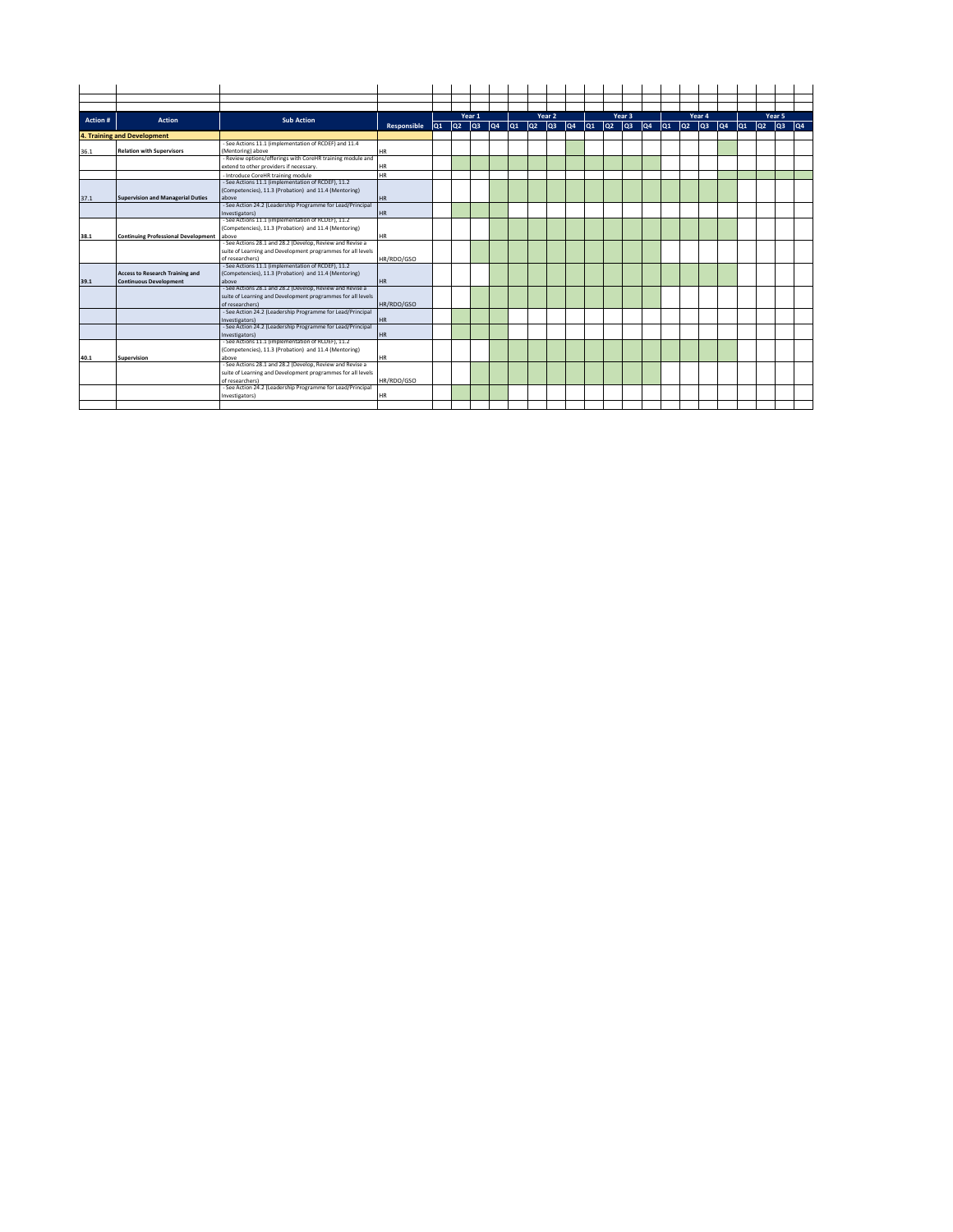| Action # | Action                                     | <b>Sub Action</b>                                           |             |                 |                 | Year 1          |     |     |     | Year 2 |     |     |     | Year 3 |    | lo1 | loz. | Year 4 | lQ4 | lo <sub>1</sub> |    | Year 5          |    |
|----------|--------------------------------------------|-------------------------------------------------------------|-------------|-----------------|-----------------|-----------------|-----|-----|-----|--------|-----|-----|-----|--------|----|-----|------|--------|-----|-----------------|----|-----------------|----|
|          |                                            |                                                             | Responsible | lQ <sub>1</sub> | lQ <sub>2</sub> | lo <sub>3</sub> | lQ4 | lQ1 | lQ2 | lоз    | lQ4 | lQ1 | loz | lQ3    | qa |     |      | lQз    |     |                 | Q2 | lo <sub>3</sub> | qa |
|          | 4. Training and Development                |                                                             |             |                 |                 |                 |     |     |     |        |     |     |     |        |    |     |      |        |     |                 |    |                 |    |
|          |                                            | - See Actions 11.1 (implementation of RCDEF) and 11.4       |             |                 |                 |                 |     |     |     |        |     |     |     |        |    |     |      |        |     |                 |    |                 |    |
| 36.1     | <b>Relation with Supervisors</b>           | (Mentoring) above                                           | <b>HR</b>   |                 |                 |                 |     |     |     |        |     |     |     |        |    |     |      |        |     |                 |    |                 |    |
|          |                                            | - Review options/offerings with CoreHR training module and  |             |                 |                 |                 |     |     |     |        |     |     |     |        |    |     |      |        |     |                 |    |                 |    |
|          |                                            | extend to other providers if necessary.                     | <b>HR</b>   |                 |                 |                 |     |     |     |        |     |     |     |        |    |     |      |        |     |                 |    |                 |    |
|          |                                            | - Introduce CoreHR training module                          | <b>HR</b>   |                 |                 |                 |     |     |     |        |     |     |     |        |    |     |      |        |     |                 |    |                 |    |
|          |                                            | - See Actions 11.1 (implementation of RCDEF), 11.2          |             |                 |                 |                 |     |     |     |        |     |     |     |        |    |     |      |        |     |                 |    |                 |    |
|          |                                            | (Competencies), 11.3 (Probation) and 11.4 (Mentoring)       |             |                 |                 |                 |     |     |     |        |     |     |     |        |    |     |      |        |     |                 |    |                 |    |
| 37.1     | <b>Supervision and Managerial Duties</b>   | above                                                       | <b>HR</b>   |                 |                 |                 |     |     |     |        |     |     |     |        |    |     |      |        |     |                 |    |                 |    |
|          |                                            | - See Action 24.2 (Leadership Programme for Lead/Principal  |             |                 |                 |                 |     |     |     |        |     |     |     |        |    |     |      |        |     |                 |    |                 |    |
|          |                                            | Investigators)                                              | <b>HR</b>   |                 |                 |                 |     |     |     |        |     |     |     |        |    |     |      |        |     |                 |    |                 |    |
|          |                                            | - See Actions 11.1 (implementation of RCDEF), 11.2          |             |                 |                 |                 |     |     |     |        |     |     |     |        |    |     |      |        |     |                 |    |                 |    |
|          |                                            | (Competencies), 11.3 (Probation) and 11.4 (Mentoring)       |             |                 |                 |                 |     |     |     |        |     |     |     |        |    |     |      |        |     |                 |    |                 |    |
| 38.1     | <b>Continuing Professional Development</b> | above                                                       | <b>HR</b>   |                 |                 |                 |     |     |     |        |     |     |     |        |    |     |      |        |     |                 |    |                 |    |
|          |                                            | - See Actions 28.1 and 28.2 (Develop, Review and Revise a   |             |                 |                 |                 |     |     |     |        |     |     |     |        |    |     |      |        |     |                 |    |                 |    |
|          |                                            | suite of Learning and Development programmes for all levels |             |                 |                 |                 |     |     |     |        |     |     |     |        |    |     |      |        |     |                 |    |                 |    |
|          |                                            | of researchers)                                             | HR/RDO/GSO  |                 |                 |                 |     |     |     |        |     |     |     |        |    |     |      |        |     |                 |    |                 |    |
|          |                                            | - See Actions 11.1 (implementation of RCDEF), 11.2          |             |                 |                 |                 |     |     |     |        |     |     |     |        |    |     |      |        |     |                 |    |                 |    |
|          | <b>Access to Research Training and</b>     | (Competencies), 11.3 (Probation) and 11.4 (Mentoring)       |             |                 |                 |                 |     |     |     |        |     |     |     |        |    |     |      |        |     |                 |    |                 |    |
| 39.1     | <b>Continuous Development</b>              | above                                                       | HR          |                 |                 |                 |     |     |     |        |     |     |     |        |    |     |      |        |     |                 |    |                 |    |
|          |                                            | - See Actions 28.1 and 28.2 (Develop, Review and Revise a   |             |                 |                 |                 |     |     |     |        |     |     |     |        |    |     |      |        |     |                 |    |                 |    |
|          |                                            | suite of Learning and Development programmes for all levels |             |                 |                 |                 |     |     |     |        |     |     |     |        |    |     |      |        |     |                 |    |                 |    |
|          |                                            | of researchers)                                             | HR/RDO/GSO  |                 |                 |                 |     |     |     |        |     |     |     |        |    |     |      |        |     |                 |    |                 |    |
|          |                                            | - See Action 24.2 (Leadership Programme for Lead/Principal  |             |                 |                 |                 |     |     |     |        |     |     |     |        |    |     |      |        |     |                 |    |                 |    |
|          |                                            | Investigators)                                              | <b>HR</b>   |                 |                 |                 |     |     |     |        |     |     |     |        |    |     |      |        |     |                 |    |                 |    |
|          |                                            | - See Action 24.2 (Leadership Programme for Lead/Principal  |             |                 |                 |                 |     |     |     |        |     |     |     |        |    |     |      |        |     |                 |    |                 |    |
|          |                                            | Investigators)                                              | <b>HR</b>   |                 |                 |                 |     |     |     |        |     |     |     |        |    |     |      |        |     |                 |    |                 |    |
|          |                                            | - See Actions 11.1 (implementation of RCDEF), 11.2          |             |                 |                 |                 |     |     |     |        |     |     |     |        |    |     |      |        |     |                 |    |                 |    |
|          |                                            | (Competencies), 11.3 (Probation) and 11.4 (Mentoring)       |             |                 |                 |                 |     |     |     |        |     |     |     |        |    |     |      |        |     |                 |    |                 |    |
| 40.1     | Supervision                                | above                                                       | <b>HR</b>   |                 |                 |                 |     |     |     |        |     |     |     |        |    |     |      |        |     |                 |    |                 |    |
|          |                                            | - See Actions 28.1 and 28.2 (Develop, Review and Revise a   |             |                 |                 |                 |     |     |     |        |     |     |     |        |    |     |      |        |     |                 |    |                 |    |
|          |                                            | suite of Learning and Development programmes for all levels |             |                 |                 |                 |     |     |     |        |     |     |     |        |    |     |      |        |     |                 |    |                 |    |
|          |                                            | of researchers)                                             | HR/RDO/GSO  |                 |                 |                 |     |     |     |        |     |     |     |        |    |     |      |        |     |                 |    |                 |    |
|          |                                            | - See Action 24.2 (Leadership Programme for Lead/Principal  |             |                 |                 |                 |     |     |     |        |     |     |     |        |    |     |      |        |     |                 |    |                 |    |
|          |                                            | Investigators)                                              | HR          |                 |                 |                 |     |     |     |        |     |     |     |        |    |     |      |        |     |                 |    |                 |    |
|          |                                            |                                                             |             |                 |                 |                 |     |     |     |        |     |     |     |        |    |     |      |        |     |                 |    |                 |    |